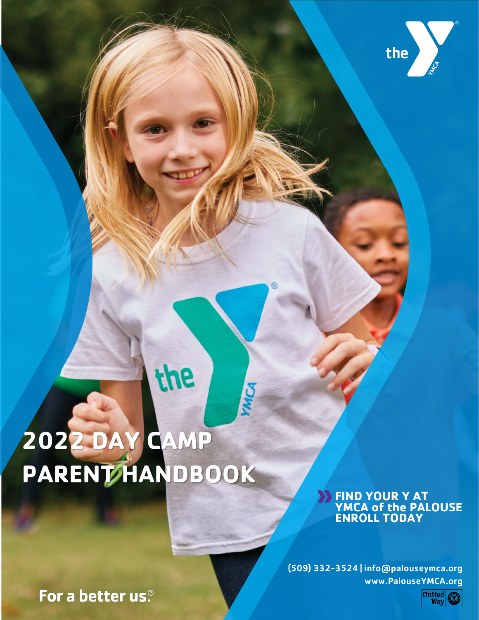

# **2022 DAY CAMP PARENT HANDBOOK**

For a better us.<sup>®</sup>

the

# **FIND YOUR Y AT YMCA of the PALOUSE ENROLL TODAY**

(509) 332-3524 | info@palouseymca.org www.PalouseYMCA.org

MICA

United<br>Way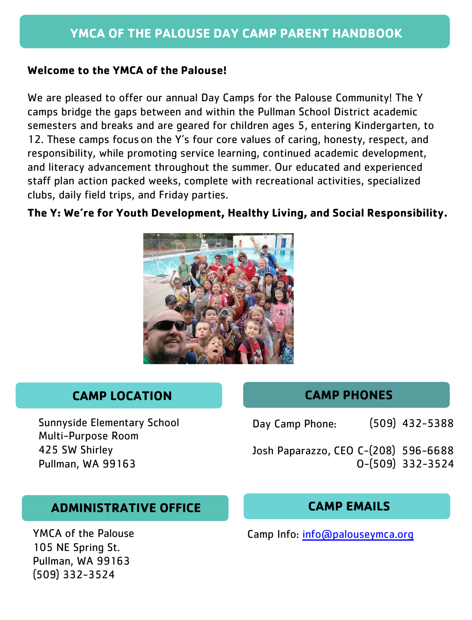#### **Welcome to the YMCA of the Palouse!**

We are pleased to offer our annual Day Camps for the Palouse Community! The Y camps bridge the gaps between and within the Pullman School District academic semesters and breaks and are geared for children ages 5, entering Kindergarten, to 12. These camps focus on the Y's four core values of caring, honesty, respect, and responsibility, while promoting service learning, continued academic development, and literacy advancement throughout the summer. Our educated and experienced staff plan action packed weeks, complete with recreational activities, specialized clubs, daily field trips, and Friday parties.

# **The Y: We're for Youth Development, Healthy Living, and Social Responsibility.**



# **CAMP LOCATION CAMP PHONES**

Sunnyside Elementary School Multi-Purpose Room

Day Camp Phone: (509) 432-5388

425 SW Shirley Josh Paparazzo, CEO C-(208) 596-6688 Pullman, WA 99163 **O-(509)** 332-3524

# **ADMINISTRATIVE OFFICE CAMP EMAILS**

YMCA of the Palouse 105 NE Spring St. Pullman, WA 99163 (509) 332-3524

Camp Info: [info@palouseymca.org](mailto:info@palouseymca.org)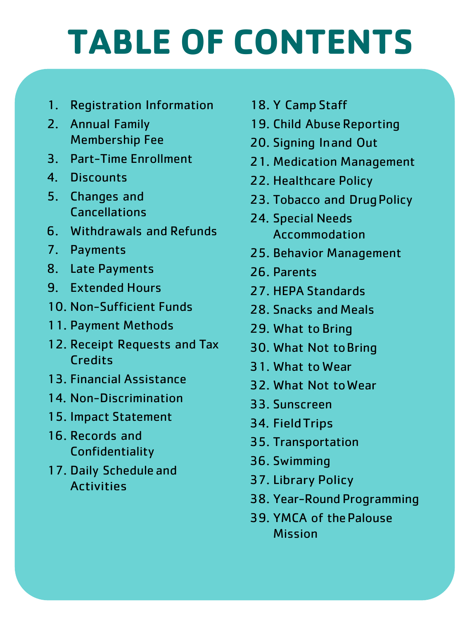# **TABLE OF CONTENTS**

- 1. Registration Information
- 2. Annual Family Membership Fee
- 3. Part-Time Enrollment
- 4. Discounts
- 5. Changes and Cancellations
- 6. Withdrawals and Refunds
- 7. Payments
- 8. Late Payments
- 9. Extended Hours
- 10. Non-Sufficient Funds
- 11. Payment Methods
- 12. Receipt Requests and Tax **Credits**
- 13. Financial Assistance
- 14. Non-Discrimination
- 15. Impact Statement
- 16. Records and Confidentiality
- 17. Daily Schedule and Activities
- 18. Y Camp Staff
- 19. Child Abuse Reporting
- 20. Signing Inand Out
- 21. Medication Management
- 22. Healthcare Policy
- 23. Tobacco and Drug Policy
- 24. Special Needs Accommodation
- 25. Behavior Management
- 26. Parents
- 27. HEPA Standards
- 28. Snacks and Meals
- 29. What to Bring
- 30. What Not toBring
- 31. What to Wear
- 32. What Not toWear
- 33. Sunscreen
- 34. FieldTrips
- 35. Transportation
- 36. Swimming
- 37. Library Policy
- 38. Year-Round Programming
- 39. YMCA of thePalouse Mission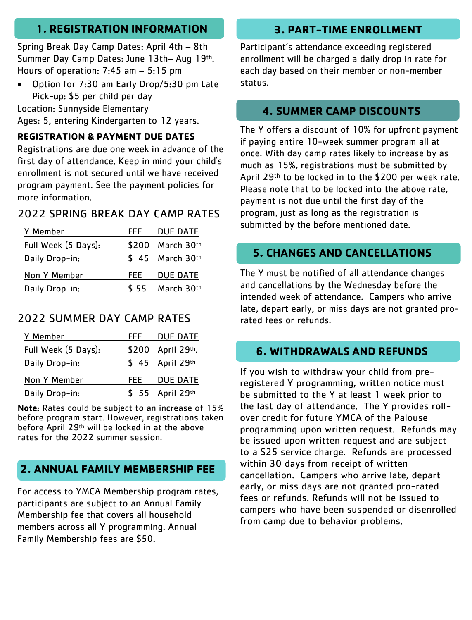# **1. REGISTRATION INFORMATION 3. PART-TIME ENROLLMENT**

Spring Break Day Camp Dates: April 4th – 8th Summer Day Camp Dates: June 13th– Aug 19th. Hours of operation: 7:45 am – 5:15 pm

• Option for 7:30 am Early Drop/5:30 pm Late Pick-up: \$5 per child per day

Location: Sunnyside Elementary Ages: 5, entering Kindergarten to 12 years.

#### **REGISTRATION & PAYMENT DUE DATES**

Registrations are due one week in advance of the first day of attendance. Keep in mind your child's enrollment is not secured until we have received program payment. See the payment policies for more information.

## 2022 SPRING BREAK DAY CAMP RATES

| Y Member            | FFF. | <b>DUE DATE</b>  |
|---------------------|------|------------------|
| Full Week (5 Days): |      | \$200 March 30th |
| Daily Drop-in:      |      | $$45$ March 30th |
| Non Y Member        | FEE. | <b>DUE DATE</b>  |
| Daily Drop-in:      | \$55 | March 30th       |

## 2022 SUMMER DAY CAMP RATES

| Y Member            | FEEL | <b>DUE DATE</b>   |
|---------------------|------|-------------------|
| Full Week (5 Days): |      | \$200 April 29th. |
| Daily Drop-in:      |      | \$ 45 April 29th  |
| Non Y Member        | FEE  | <b>DUE DATE</b>   |
| Daily Drop-in:      |      | \$ 55 April 29th  |

Note: Rates could be subject to an increase of 15% before program start. However, registrations taken before April 29th will be locked in at the above rates for the 2022 summer session.

# **2. ANNUAL FAMILY MEMBERSHIP FEE**

For access to YMCA Membership program rates, participants are subject to an Annual Family Membership fee that covers all household members across all Y programming. Annual Family Membership fees are \$50.

Participant's attendance exceeding registered enrollment will be charged a daily drop in rate for each day based on their member or non-member status.

#### **4. SUMMER CAMP DISCOUNTS**

The Y offers a discount of 10% for upfront payment if paying entire 10-week summer program all at once. With day camp rates likely to increase by as much as 15%, registrations must be submitted by April 29th to be locked in to the \$200 per week rate. Please note that to be locked into the above rate, payment is not due until the first day of the program, just as long as the registration is submitted by the before mentioned date.

#### **5. CHANGES AND CANCELLATIONS**

The Y must be notified of all attendance changes and cancellations by the Wednesday before the intended week of attendance. Campers who arrive late, depart early, or miss days are not granted prorated fees or refunds.

#### **6. WITHDRAWALS AND REFUNDS**

If you wish to withdraw your child from preregistered Y programming, written notice must be submitted to the Y at least 1 week prior to the last day of attendance. The Y provides rollover credit for future YMCA of the Palouse programming upon written request. Refunds may be issued upon written request and are subject to a \$25 service charge. Refunds are processed within 30 days from receipt of written cancellation. Campers who arrive late, depart early, or miss days are not granted pro-rated fees or refunds. Refunds will not be issued to campers who have been suspended or disenrolled from camp due to behavior problems.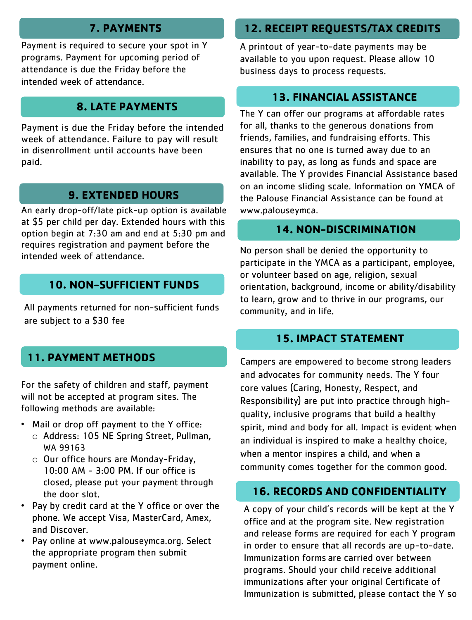# **7. PAYMENTS**

Payment is required to secure your spot in Y programs. Payment for upcoming period of attendance is due the Friday before the intended week of attendance.

# **8. LATE PAYMENTS**

Payment is due the Friday before the intended week of attendance. Failure to pay will result in disenrollment until accounts have been paid.

# **9. EXTENDED HOURS**

An early drop-off/Iate pick-up option is available at \$5 per child per day. Extended hours with this option begin at 7:30 am and end at 5:30 pm and requires registration and payment before the intended week of attendance.

# **10. NON-SUFFICIENT FUNDS**

All payments returned for non-sufficient funds are subject to a \$30 fee

# **11. PAYMENT METHODS**

For the safety of children and staff, payment will not be accepted at program sites. The following methods are available:

- Mail or drop off payment to the Y office: o Address: 105 NE Spring Street, Pullman,
	- WA 99163
	- o Our office hours are Monday-Friday, 10:00 AM - 3:00 PM. If our office is closed, please put your payment through the door slot.
- Pay by credit card at the Y office or over the phone. We accept Visa, MasterCard, Amex, and Discover.
- Pay online at [www.palouseymca.org.](http://www.palouseymca.org/) Select the appropriate program then submit payment online.

# **12. RECEIPT REQUESTS/TAX CREDITS**

A printout of year-to-date payments may be available to you upon request. Please allow 10 business days to process requests.

# **13. FINANCIAL ASSISTANCE**

The Y can offer our programs at affordable rates for all, thanks to the generous donations from friends, families, and fundraising efforts. This ensures that no one is turned away due to an inability to pay, as long as funds and space are available. The Y provides Financial Assistance based on an income sliding scale. Information on YMCA of the Palouse Financial Assistance can be found at www.palouseymca.

# **14. NON-DISCRIMINATION**

No person shall be denied the opportunity to participate in the YMCA as a participant, employee, or volunteer based on age, religion, sexual orientation, background, income or ability/disability to learn, grow and to thrive in our programs, our community, and in life.

# **15. IMPACT STATEMENT**

Campers are empowered to become strong leaders and advocates for community needs. The Y four core values (Caring, Honesty, Respect, and Responsibility) are put into practice through highquality, inclusive programs that build a healthy spirit, mind and body for all. Impact is evident when an individual is inspired to make a healthy choice, when a mentor inspires a child, and when a community comes together for the common good.

# **16. RECORDS AND CONFIDENTIALITY**

A copy of your child's records will be kept at the Y office and at the program site. New registration and release forms are required for each Y program in order to ensure that all records are up-to-date. Immunization forms are carried over between programs. Should your child receive additional immunizations after your original Certificate of Immunization is submitted, please contact the Y so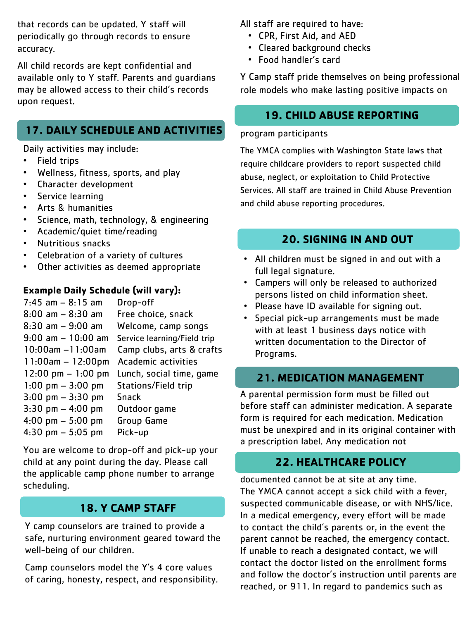that records can be updated. Y staff will periodically go through records to ensure accuracy.

All child records are kept confidential and available only to Y staff. Parents and guardians may be allowed access to their child's records upon request.

## **17. DAILY SCHEDULE AND ACTIVITIES**

Daily activities may include:

- Field trips
- Wellness, fitness, sports, and play
- Character development
- Service learning
- Arts & humanities
- Science, math, technology, & engineering
- Academic/quiet time/reading
- Nutritious snacks
- Celebration of a variety of cultures
- Other activities as deemed appropriate

#### **Example Daily Schedule (will vary):**

| Drop-off                    |
|-----------------------------|
| Free choice, snack          |
| Welcome, camp songs         |
| Service learning/Field trip |
| Camp clubs, arts & crafts   |
| Academic activities         |
| Lunch, social time, game    |
| Stations/Field trip         |
| <b>Snack</b>                |
| Outdoor game                |
| Group Game                  |
| Pick-up                     |
|                             |

You are welcome to drop-off and pick-up your child at any point during the day. Please call the applicable camp phone number to arrange scheduling.

#### **18. Y CAMP STAFF**

Y camp counselors are trained to provide a safe, nurturing environment geared toward the well-being of our children.

Camp counselors model the Y's 4 core values of caring, honesty, respect, and responsibility. All staff are required to have:

- CPR, First Aid, and AED
- Cleared background checks
- Food handler's card

Y Camp staff pride themselves on being professional role models who make lasting positive impacts on

#### **19. CHILD ABUSE REPORTING**

#### program participants

The YMCA complies with Washington State laws that require childcare providers to report suspected child abuse, neglect, or exploitation to Child Protective Services. All staff are trained in Child Abuse Prevention and child abuse reporting procedures.

#### **20. SIGNING IN AND OUT**

- All children must be signed in and out with a full legal signature.
- Campers will only be released to authorized persons listed on child information sheet.
- Please have ID available for signing out.
- Special pick-up arrangements must be made with at least 1 business days notice with written documentation to the Director of Programs.

#### **21. MEDICATION MANAGEMENT**

A parental permission form must be filled out before staff can administer medication. A separate form is required for each medication. Medication must be unexpired and in its original container with a prescription label. Any medication not

## **22. HEALTHCARE POLICY**

documented cannot be at site at any time. The YMCA cannot accept a sick child with a fever, suspected communicable disease, or with NHS/lice. In a medical emergency, every effort will be made to contact the child's parents or, in the event the parent cannot be reached, the emergency contact. If unable to reach a designated contact, we will contact the doctor listed on the enrollment forms and follow the doctor's instruction until parents are reached, or 911. In regard to pandemics such as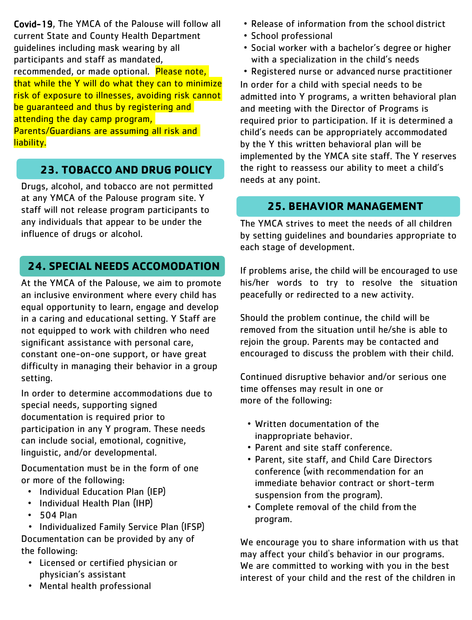Covid-19, The YMCA of the Palouse will follow all current State and County Health Department guidelines including mask wearing by all participants and staff as mandated, recommended, or made optional. Please note, that while the Y will do what they can to minimize risk of exposure to illnesses, avoiding risk cannot be quaranteed and thus by registering and attending the day camp program,

Parents/Guardians are assuming all risk and liability.

# **23. TOBACCO AND DRUG POLICY**

Drugs, alcohol, and tobacco are not permitted at any YMCA of the Palouse program site. Y staff will not release program participants to any individuals that appear to be under the influence of drugs or alcohol.

## **24. SPECIAL NEEDS ACCOMODATION**

At the YMCA of the Palouse, we aim to promote an inclusive environment where every child has equal opportunity to learn, engage and develop in a caring and educational setting. Y Staff are not equipped to work with children who need significant assistance with personal care, constant one-on-one support, or have great difficulty in managing their behavior in a group setting.

In order to determine accommodations due to special needs, supporting signed documentation is required prior to participation in any Y program. These needs can include social, emotional, cognitive, linguistic, and/or developmental.

Documentation must be in the form of one or more of the following:

- Individual Education Plan (IEP)
- Individual Health Plan (IHP)
- 504 Plan
- Individualized Family Service Plan (IFSP)

Documentation can be provided by any of the following:

- Licensed or certified physician or physician's assistant
- Mental health professional
- Release of information from the school district
- School professional
- Social worker with a bachelor's degree or higher with a specialization in the child's needs
- Registered nurse or advanced nurse practitioner

In order for a child with special needs to be admitted into Y programs, a written behavioral plan and meeting with the Director of Programs is required prior to participation. If it is determined a child's needs can be appropriately accommodated by the Y this written behavioral plan will be implemented by the YMCA site staff. The Y reserves the right to reassess our ability to meet a child's needs at any point.

# **25. BEHAVIOR MANAGEMENT**

The YMCA strives to meet the needs of all children by setting guidelines and boundaries appropriate to each stage of development.

If problems arise, the child will be encouraged to use his/her words to try to resolve the situation peacefully or redirected to a new activity.

Should the problem continue, the child will be removed from the situation until he/she is able to rejoin the group. Parents may be contacted and encouraged to discuss the problem with their child.

Continued disruptive behavior and/or serious one time offenses may result in one or more of the following:

- Written documentation of the inappropriate behavior.
- Parent and site staff conference.
- Parent, site staff, and Child Care Directors conference (with recommendation for an immediate behavior contract or short-term suspension from the program).
- Complete removal of the child from the program.

We encourage you to share information with us that may affect your child's behavior in our programs. We are committed to working with you in the best interest of your child and the rest of the children in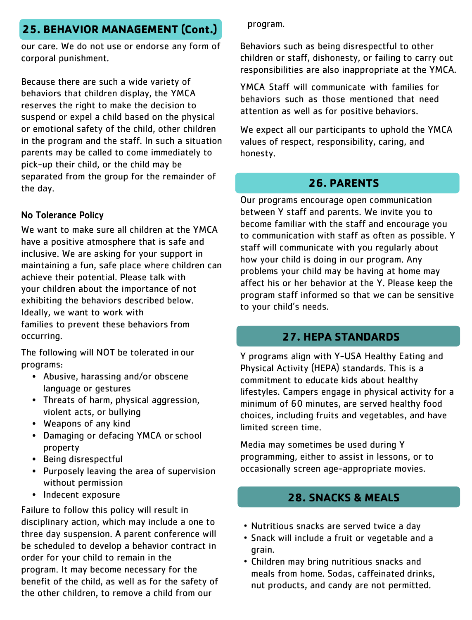# **25. BEHAVIOR MANAGEMENT (Cont.)**

our care. We do not use or endorse any form of corporal punishment.

Because there are such a wide variety of behaviors that children display, the YMCA reserves the right to make the decision to suspend or expel a child based on the physical or emotional safety of the child, other children in the program and the staff. In such a situation parents may be called to come immediately to pick-up their child, or the child may be separated from the group for the remainder of the day.

#### No Tolerance Policy

We want to make sure all children at the YMCA have a positive atmosphere that is safe and inclusive. We are asking for your support in maintaining a fun, safe place where children can achieve their potential. Please talk with your children about the importance of not exhibiting the behaviors described below. Ideally, we want to work with families to prevent these behaviors from occurring.

The following will NOT be tolerated in our programs:

- Abusive, harassing and/or obscene language or gestures
- Threats of harm, physical aggression, violent acts, or bullying
- Weapons of any kind
- Damaging or defacing YMCA or school property
- Being disrespectful
- Purposely leaving the area of supervision without permission
- Indecent exposure

Failure to follow this policy will result in disciplinary action, which may include a one to three day suspension. A parent conference will be scheduled to develop a behavior contract in order for your child to remain in the program. It may become necessary for the benefit of the child, as well as for the safety of the other children, to remove a child from our

program.

Behaviors such as being disrespectful to other children or staff, dishonesty, or failing to carry out responsibilities are also inappropriate at the YMCA.

YMCA Staff will communicate with families for behaviors such as those mentioned that need attention as well as for positive behaviors.

We expect all our participants to uphold the YMCA values of respect, responsibility, caring, and honesty.

# **26. PARENTS**

Our programs encourage open communication between Y staff and parents. We invite you to become familiar with the staff and encourage you to communication with staff as often as possible. Y staff will communicate with you regularly about how your child is doing in our program. Any problems your child may be having at home may affect his or her behavior at the Y. Please keep the program staff informed so that we can be sensitive to your child's needs.

#### **27. HEPA STANDARDS**

Y programs align with Y-USA Healthy Eating and Physical Activity (HEPA) standards. This is a commitment to educate kids about healthy lifestyles. Campers engage in physical activity for a minimum of 60 minutes, are served healthy food choices, including fruits and vegetables, and have limited screen time.

Media may sometimes be used during Y programming, either to assist in lessons, or to occasionally screen age-appropriate movies.

#### **28. SNACKS & MEALS**

- Nutritious snacks are served twice a day
- Snack will include a fruit or vegetable and a grain.
- Children may bring nutritious snacks and meals from home. Sodas, caffeinated drinks, nut products, and candy are not permitted.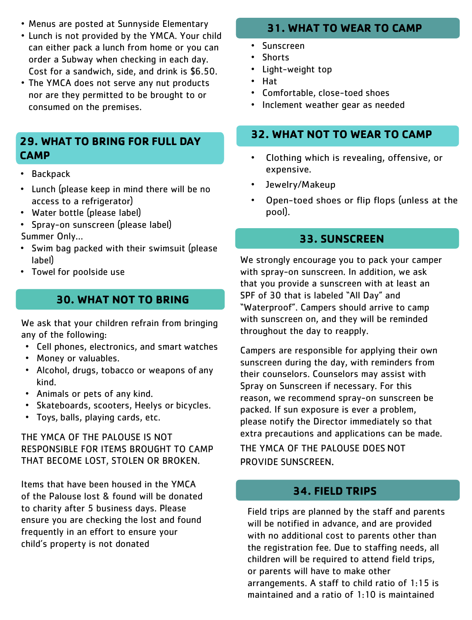- Menus are posted at Sunnyside Elementary
- Lunch is not provided by the YMCA. Your child can either pack a lunch from home or you can order a Subway when checking in each day. Cost for a sandwich, side, and drink is \$6.50.
- The YMCA does not serve any nut products nor are they permitted to be brought to or consumed on the premises.

#### **29. WHAT TO BRING FOR FULL DAY CAMP**

- Backpack
- Lunch (please keep in mind there will be no access to a refrigerator)
- Water bottle (please label)
- Spray-on sunscreen (please label) Summer Only…
- Swim bag packed with their swimsuit (please label)
- Towel for poolside use

## **30. WHAT NOT TO BRING**

We ask that your children refrain from bringing any of the following:

- Cell phones, electronics, and smart watches
- Money or valuables.
- Alcohol, drugs, tobacco or weapons of any kind.
- Animals or pets of any kind.
- Skateboards, scooters, Heelys or bicycles.
- Toys, balls, playing cards, etc.

THE YMCA OF THE PALOUSE IS NOT RESPONSIBLE FOR ITEMS BROUGHT TO CAMP THAT BECOME LOST, STOLEN OR BROKEN.

Items that have been housed in the YMCA of the Palouse lost & found will be donated to charity after 5 business days. Please ensure you are checking the lost and found frequently in an effort to ensure your child's property is not donated

#### **31. WHAT TO WEAR TO CAMP**

- Sunscreen
- Shorts
- Light-weight top
- Hat
- Comfortable, close-toed shoes
- Inclement weather gear as needed

#### **32. WHAT NOT TO WEAR TO CAMP**

- Clothing which is revealing, offensive, or expensive.
- Jewelry/Makeup
- Open-toed shoes or flip flops (unless at the pool).

#### **33. SUNSCREEN**

We strongly encourage you to pack your camper with spray-on sunscreen. In addition, we ask that you provide a sunscreen with at least an SPF of 30 that is labeled "All Day" and "Waterproof". Campers should arrive to camp with sunscreen on, and they will be reminded throughout the day to reapply.

Campers are responsible for applying their own sunscreen during the day, with reminders from their counselors. Counselors may assist with Spray on Sunscreen if necessary. For this reason, we recommend spray-on sunscreen be packed. If sun exposure is ever a problem, please notify the Director immediately so that extra precautions and applications can be made. THE YMCA OF THE PALOUSE DOES NOT PROVIDE SUNSCREEN.

#### **34. FIELD TRIPS**

Field trips are planned by the staff and parents will be notified in advance, and are provided with no additional cost to parents other than the registration fee. Due to staffing needs, all children will be required to attend field trips, or parents will have to make other arrangements. A staff to child ratio of 1:15 is maintained and a ratio of 1:10 is maintained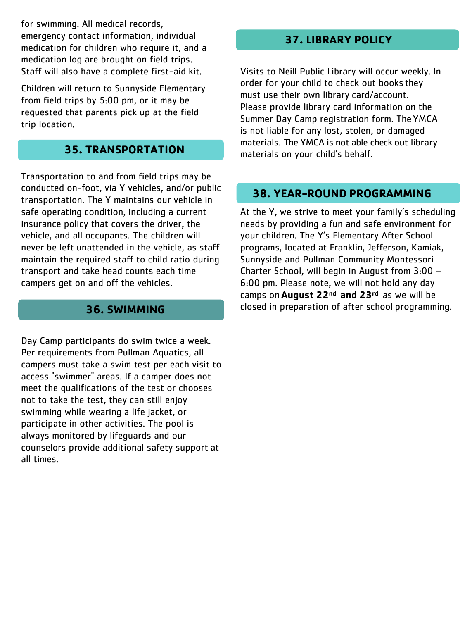for swimming. All medical records, emergency contact information, individual medication for children who require it, and a medication log are brought on field trips. Staff will also have a complete first-aid kit.

Children will return to Sunnyside Elementary from field trips by 5:00 pm, or it may be requested that parents pick up at the field trip location.

#### **35. TRANSPORTATION**

Transportation to and from field trips may be conducted on-foot, via Y vehicles, and/or public transportation. The Y maintains our vehicle in safe operating condition, including a current insurance policy that covers the driver, the vehicle, and all occupants. The children will never be left unattended in the vehicle, as staff maintain the required staff to child ratio during transport and take head counts each time campers get on and off the vehicles.

#### **36. SWIMMING**

Day Camp participants do swim twice a week. Per requirements from Pullman Aquatics, all campers must take a swim test per each visit to access "swimmer" areas. If a camper does not meet the qualifications of the test or chooses not to take the test, they can still enjoy swimming while wearing a life jacket, or participate in other activities. The pool is always monitored by lifeguards and our counselors provide additional safety support at all times.

# **37. LIBRARY POLICY**

Visits to Neill Public Library will occur weekly. In order for your child to check out books they must use their own library card/account. Please provide library card information on the Summer Day Camp registration form. TheYMCA is not liable for any lost, stolen, or damaged materials. The YMCA is not able check out library materials on your child's behalf.

#### **38. YEAR-ROUND PROGRAMMING**

At the Y, we strive to meet your family's scheduling needs by providing a fun and safe environment for your children. The Y's Elementary After School programs, located at Franklin, Jefferson, Kamiak, Sunnyside and Pullman Community Montessori Charter School, will begin in August from 3:00 – 6:00 pm. Please note, we will not hold any day camps on **August 22nd and 23rd** as we will be closed in preparation of after school programming.